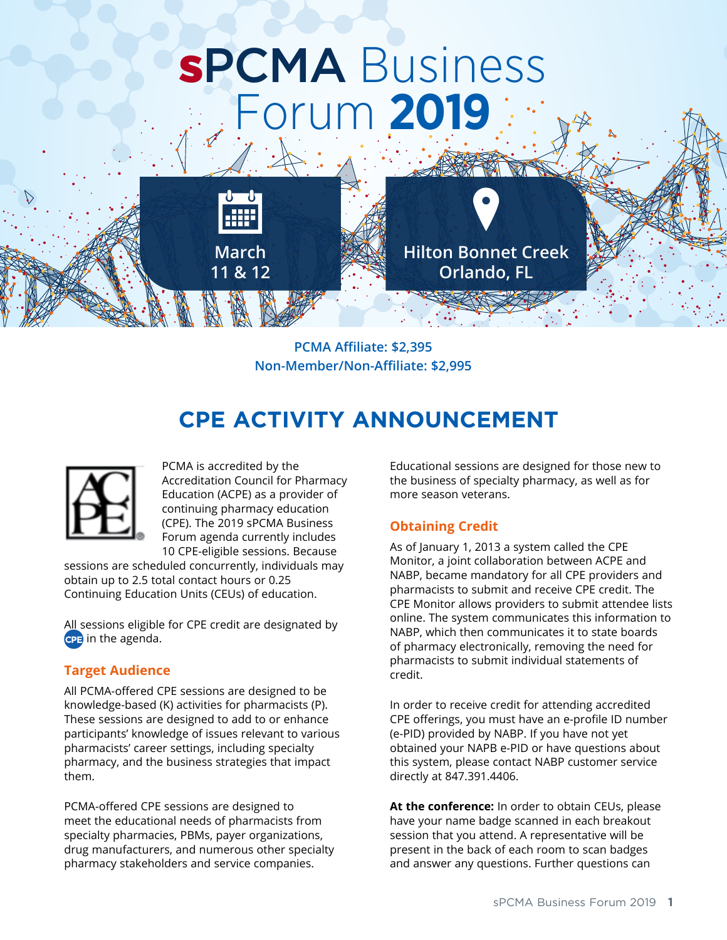# sPCMA Business Forum **2019**



**PCMA Affiliate: \$2,395 Non-Member/Non-Affiliate: \$2,995**

# **CPE ACTIVITY ANNOUNCEMENT**



PCMA is accredited by the Accreditation Council for Pharmacy Education (ACPE) as a provider of continuing pharmacy education (CPE). The 2019 sPCMA Business Forum agenda currently includes 10 CPE-eligible sessions. Because

sessions are scheduled concurrently, individuals may obtain up to 2.5 total contact hours or 0.25 Continuing Education Units (CEUs) of education.

All sessions eligible for CPE credit are designated by in the agenda.

## **Target Audience**

All PCMA-offered CPE sessions are designed to be knowledge-based (K) activities for pharmacists (P). These sessions are designed to add to or enhance participants' knowledge of issues relevant to various pharmacists' career settings, including specialty pharmacy, and the business strategies that impact them.

PCMA-offered CPE sessions are designed to meet the educational needs of pharmacists from specialty pharmacies, PBMs, payer organizations, drug manufacturers, and numerous other specialty pharmacy stakeholders and service companies.

Educational sessions are designed for those new to the business of specialty pharmacy, as well as for more season veterans.

## **Obtaining Credit**

As of January 1, 2013 a system called the CPE Monitor, a joint collaboration between ACPE and NABP, became mandatory for all CPE providers and pharmacists to submit and receive CPE credit. The CPE Monitor allows providers to submit attendee lists online. The system communicates this information to NABP, which then communicates it to state boards of pharmacy electronically, removing the need for pharmacists to submit individual statements of credit.

In order to receive credit for attending accredited CPE offerings, you must have an e-profile ID number (e-PID) provided by NABP. If you have not yet obtained your NAPB e-PID or have questions about this system, please contact NABP customer service directly at 847.391.4406.

**At the conference:** In order to obtain CEUs, please have your name badge scanned in each breakout session that you attend. A representative will be present in the back of each room to scan badges and answer any questions. Further questions can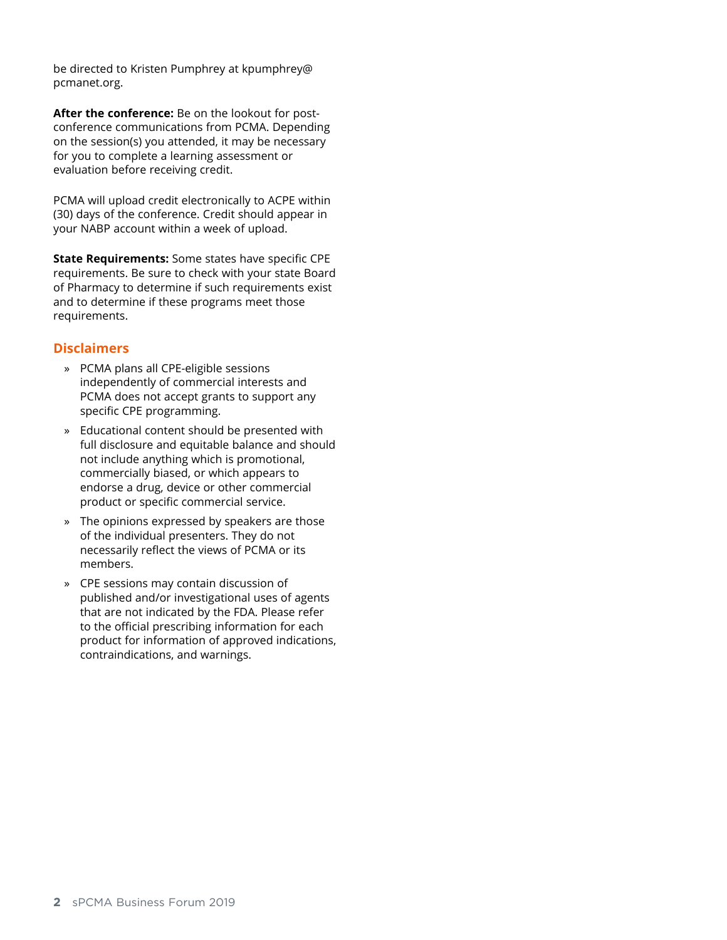be directed to Kristen Pumphrey at kpumphrey@ pcmanet.org.

**After the conference:** Be on the lookout for postconference communications from PCMA. Depending on the session(s) you attended, it may be necessary for you to complete a learning assessment or evaluation before receiving credit.

PCMA will upload credit electronically to ACPE within (30) days of the conference. Credit should appear in your NABP account within a week of upload.

**State Requirements:** Some states have specific CPE requirements. Be sure to check with your state Board of Pharmacy to determine if such requirements exist and to determine if these programs meet those requirements.

#### **Disclaimers**

- » PCMA plans all CPE-eligible sessions independently of commercial interests and PCMA does not accept grants to support any specific CPE programming.
- » Educational content should be presented with full disclosure and equitable balance and should not include anything which is promotional, commercially biased, or which appears to endorse a drug, device or other commercial product or specific commercial service.
- » The opinions expressed by speakers are those of the individual presenters. They do not necessarily reflect the views of PCMA or its members.
- » CPE sessions may contain discussion of published and/or investigational uses of agents that are not indicated by the FDA. Please refer to the official prescribing information for each product for information of approved indications, contraindications, and warnings.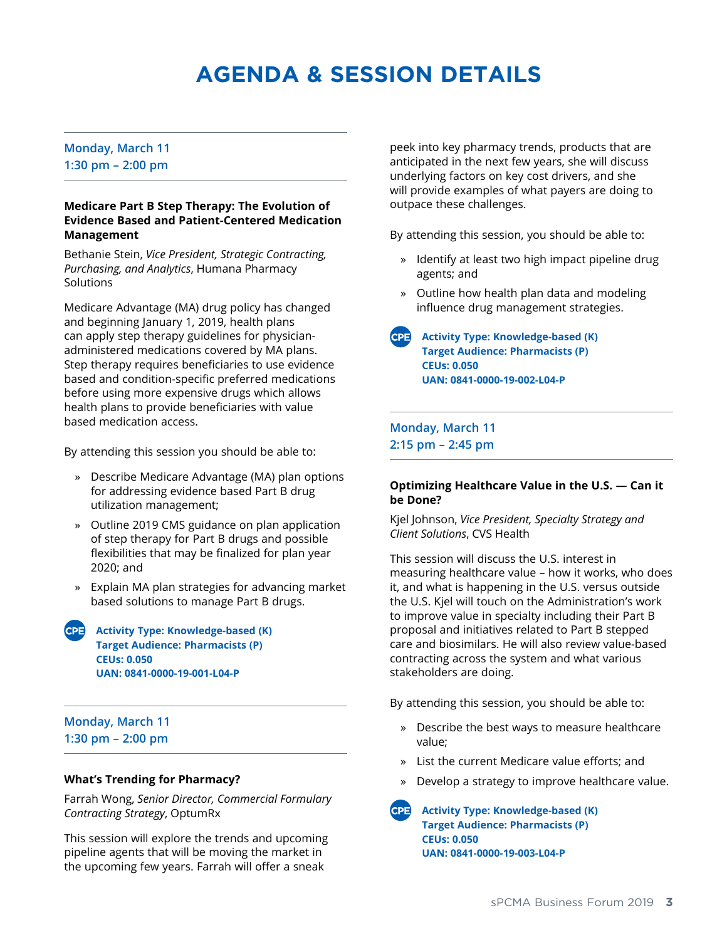# **AGENDA & SESSION DETAILS**

#### **Monday, March 11 1:30 pm – 2:00 pm**

#### **Medicare Part B Step Therapy: The Evolution of Evidence Based and Patient-Centered Medication Management**

Bethanie Stein, *Vice President, Strategic Contracting, Purchasing, and Analytics*, Humana Pharmacy **Solutions** 

Medicare Advantage (MA) drug policy has changed and beginning January 1, 2019, health plans can apply step therapy guidelines for physicianadministered medications covered by MA plans. Step therapy requires beneficiaries to use evidence based and condition-specific preferred medications before using more expensive drugs which allows health plans to provide beneficiaries with value based medication access.

By attending this session you should be able to:

- » Describe Medicare Advantage (MA) plan options for addressing evidence based Part B drug utilization management;
- » Outline 2019 CMS guidance on plan application of step therapy for Part B drugs and possible flexibilities that may be finalized for plan year 2020; and
- » Explain MA plan strategies for advancing market based solutions to manage Part B drugs.
- **Activity Type: Knowledge-based (K) Target Audience: Pharmacists (P) CEUs: 0.050 UAN: 0841-0000-19-001-L04-P**

#### **Monday, March 11 1:30 pm – 2:00 pm**

#### **What's Trending for Pharmacy?**

Farrah Wong, *Senior Director, Commercial Formulary Contracting Strategy*, OptumRx

This session will explore the trends and upcoming pipeline agents that will be moving the market in the upcoming few years. Farrah will offer a sneak

peek into key pharmacy trends, products that are anticipated in the next few years, she will discuss underlying factors on key cost drivers, and she will provide examples of what payers are doing to outpace these challenges.

By attending this session, you should be able to:

- » Identify at least two high impact pipeline drug agents; and
- » Outline how health plan data and modeling influence drug management strategies.
- **Activity Type: Knowledge-based (K) Target Audience: Pharmacists (P) CEUs: 0.050 UAN: 0841-0000-19-002-L04-P**

**Monday, March 11 2:15 pm – 2:45 pm**

#### **Optimizing Healthcare Value in the U.S. — Can it be Done?**

Kjel Johnson, *Vice President, Specialty Strategy and Client Solutions*, CVS Health

This session will discuss the U.S. interest in measuring healthcare value – how it works, who does it, and what is happening in the U.S. versus outside the U.S. Kjel will touch on the Administration's work to improve value in specialty including their Part B proposal and initiatives related to Part B stepped care and biosimilars. He will also review value-based contracting across the system and what various stakeholders are doing.

By attending this session, you should be able to:

- » Describe the best ways to measure healthcare value;
- » List the current Medicare value efforts; and
- » Develop a strategy to improve healthcare value.

**Activity Type: Knowledge-based (K) Target Audience: Pharmacists (P) CEUs: 0.050 UAN: 0841-0000-19-003-L04-P**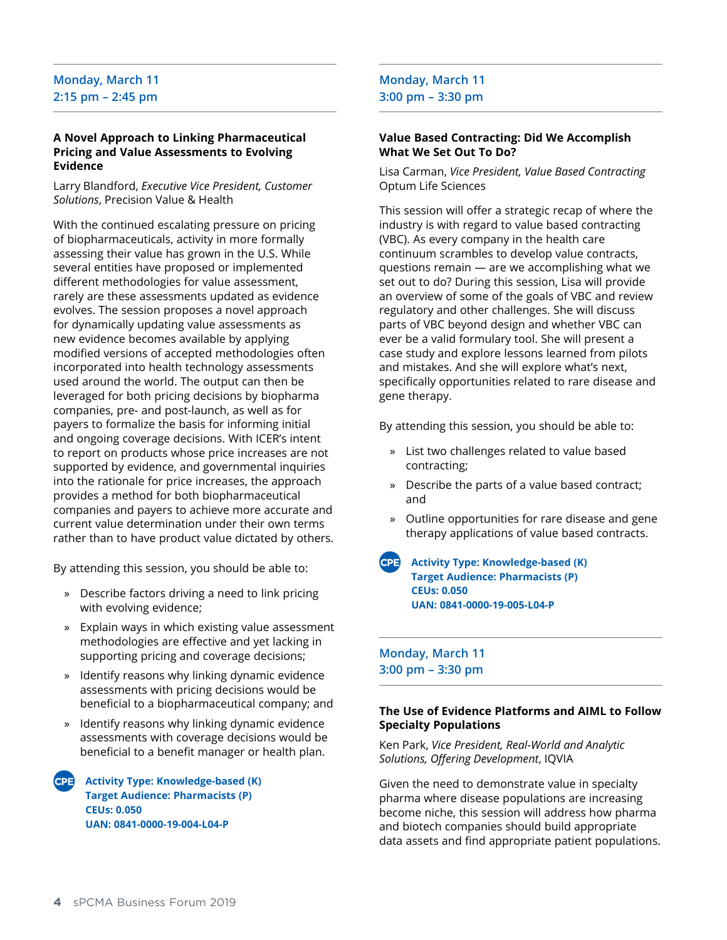### **Monday, March 11 2:15 pm – 2:45 pm**

#### **A Novel Approach to Linking Pharmaceutical Pricing and Value Assessments to Evolving Evidence**

Larry Blandford, *Executive Vice President, Customer Solutions*, Precision Value & Health

With the continued escalating pressure on pricing of biopharmaceuticals, activity in more formally assessing their value has grown in the U.S. While several entities have proposed or implemented different methodologies for value assessment, rarely are these assessments updated as evidence evolves. The session proposes a novel approach for dynamically updating value assessments as new evidence becomes available by applying modified versions of accepted methodologies often incorporated into health technology assessments used around the world. The output can then be leveraged for both pricing decisions by biopharma companies, pre- and post-launch, as well as for payers to formalize the basis for informing initial and ongoing coverage decisions. With ICER's intent to report on products whose price increases are not supported by evidence, and governmental inquiries into the rationale for price increases, the approach provides a method for both biopharmaceutical companies and payers to achieve more accurate and current value determination under their own terms rather than to have product value dictated by others.

By attending this session, you should be able to:

- » Describe factors driving a need to link pricing with evolving evidence;
- » Explain ways in which existing value assessment methodologies are effective and yet lacking in supporting pricing and coverage decisions;
- » Identify reasons why linking dynamic evidence assessments with pricing decisions would be beneficial to a biopharmaceutical company; and
- » Identify reasons why linking dynamic evidence assessments with coverage decisions would be beneficial to a benefit manager or health plan.

**Activity Type: Knowledge-based (K) Target Audience: Pharmacists (P) CEUs: 0.050 UAN: 0841-0000-19-004-L04-P** 

#### **Monday, March 11 3:00 pm – 3:30 pm**

#### **Value Based Contracting: Did We Accomplish What We Set Out To Do?**

Lisa Carman, *Vice President, Value Based Contracting* Optum Life Sciences

This session will offer a strategic recap of where the industry is with regard to value based contracting (VBC). As every company in the health care continuum scrambles to develop value contracts, questions remain — are we accomplishing what we set out to do? During this session, Lisa will provide an overview of some of the goals of VBC and review regulatory and other challenges. She will discuss parts of VBC beyond design and whether VBC can ever be a valid formulary tool. She will present a case study and explore lessons learned from pilots and mistakes. And she will explore what's next, specifically opportunities related to rare disease and gene therapy.

By attending this session, you should be able to:

- » List two challenges related to value based contracting;
- » Describe the parts of a value based contract; and
- » Outline opportunities for rare disease and gene therapy applications of value based contracts.
- **Activity Type: Knowledge-based (K) Target Audience: Pharmacists (P) CEUs: 0.050 UAN: 0841-0000-19-005-L04-P**

**Monday, March 11 3:00 pm – 3:30 pm**

#### **The Use of Evidence Platforms and AIML to Follow Specialty Populations**

Ken Park, *Vice President, Real-World and Analytic Solutions, Offering Development*, IQVIA

Given the need to demonstrate value in specialty pharma where disease populations are increasing become niche, this session will address how pharma and biotech companies should build appropriate data assets and find appropriate patient populations.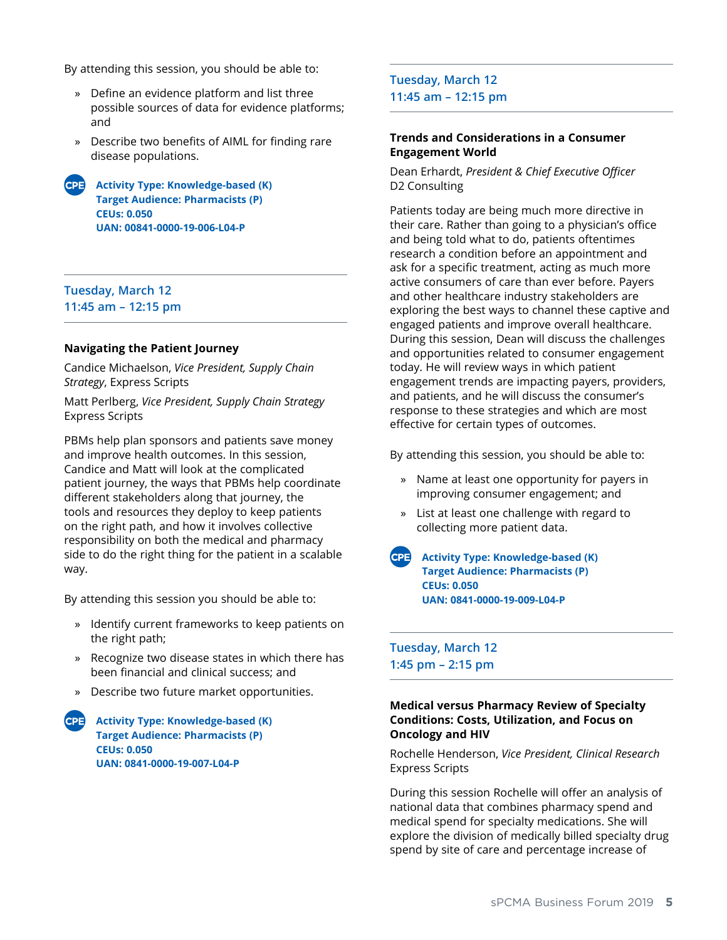By attending this session, you should be able to:

- » Define an evidence platform and list three possible sources of data for evidence platforms; and
- » Describe two benefits of AIML for finding rare disease populations.
- **Activity Type: Knowledge-based (K) Target Audience: Pharmacists (P) CEUs: 0.050 UAN: 00841-0000-19-006-L04-P**

#### **Tuesday, March 12 11:45 am – 12:15 pm**

#### **Navigating the Patient Journey**

Candice Michaelson, *Vice President, Supply Chain Strategy*, Express Scripts

Matt Perlberg, *Vice President, Supply Chain Strategy* Express Scripts

PBMs help plan sponsors and patients save money and improve health outcomes. In this session, Candice and Matt will look at the complicated patient journey, the ways that PBMs help coordinate different stakeholders along that journey, the tools and resources they deploy to keep patients on the right path, and how it involves collective responsibility on both the medical and pharmacy side to do the right thing for the patient in a scalable way.

By attending this session you should be able to:

- » Identify current frameworks to keep patients on the right path;
- » Recognize two disease states in which there has been financial and clinical success; and
- » Describe two future market opportunities.
- **Activity Type: Knowledge-based (K) Target Audience: Pharmacists (P) CEUs: 0.050 UAN: 0841-0000-19-007-L04-P**

**Tuesday, March 12 11:45 am – 12:15 pm**

#### **Trends and Considerations in a Consumer Engagement World**

Dean Erhardt, *President & Chief Executive Officer* D2 Consulting

Patients today are being much more directive in their care. Rather than going to a physician's office and being told what to do, patients oftentimes research a condition before an appointment and ask for a specific treatment, acting as much more active consumers of care than ever before. Payers and other healthcare industry stakeholders are exploring the best ways to channel these captive and engaged patients and improve overall healthcare. During this session, Dean will discuss the challenges and opportunities related to consumer engagement today. He will review ways in which patient engagement trends are impacting payers, providers, and patients, and he will discuss the consumer's response to these strategies and which are most effective for certain types of outcomes.

By attending this session, you should be able to:

- » Name at least one opportunity for payers in improving consumer engagement; and
- » List at least one challenge with regard to collecting more patient data.
- **Activity Type: Knowledge-based (K) Target Audience: Pharmacists (P) CEUs: 0.050 UAN: 0841-0000-19-009-L04-P**

**Tuesday, March 12 1:45 pm – 2:15 pm**

#### **Medical versus Pharmacy Review of Specialty Conditions: Costs, Utilization, and Focus on Oncology and HIV**

Rochelle Henderson, *Vice President, Clinical Research* Express Scripts

During this session Rochelle will offer an analysis of national data that combines pharmacy spend and medical spend for specialty medications. She will explore the division of medically billed specialty drug spend by site of care and percentage increase of